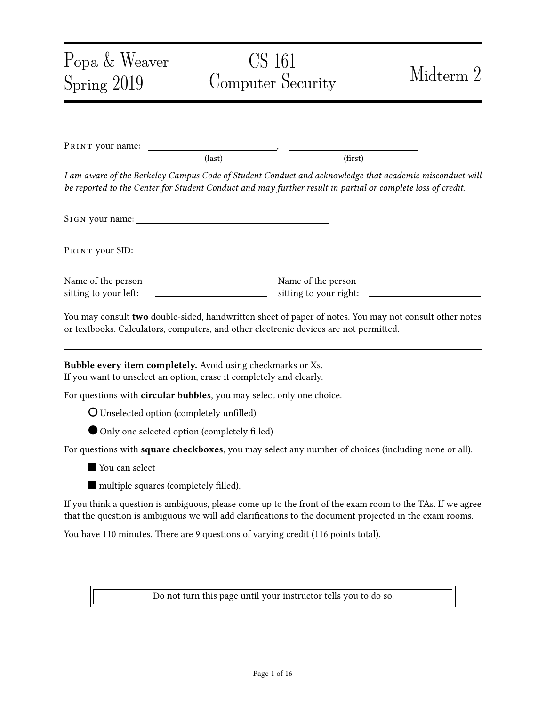| Popa & Weaver                                | CS 161                                                                                                                                                                                                                 | Midterm 2 |  |
|----------------------------------------------|------------------------------------------------------------------------------------------------------------------------------------------------------------------------------------------------------------------------|-----------|--|
| Spring 2019                                  | Computer Security                                                                                                                                                                                                      |           |  |
|                                              |                                                                                                                                                                                                                        |           |  |
| PRINT your name:                             |                                                                                                                                                                                                                        |           |  |
|                                              | (last)                                                                                                                                                                                                                 | (first)   |  |
|                                              | I am aware of the Berkeley Campus Code of Student Conduct and acknowledge that academic misconduct will<br>be reported to the Center for Student Conduct and may further result in partial or complete loss of credit. |           |  |
|                                              |                                                                                                                                                                                                                        |           |  |
|                                              |                                                                                                                                                                                                                        |           |  |
| Name of the person<br>sitting to your left:  | Name of the person<br><u> 1990 - Johann Barbara, martxa al</u>                                                                                                                                                         |           |  |
|                                              | You may consult two double-sided, handwritten sheet of paper of notes. You may not consult other notes<br>or textbooks. Calculators, computers, and other electronic devices are not permitted.                        |           |  |
|                                              | Bubble every item completely. Avoid using checkmarks or Xs.<br>If you want to unselect an option, erase it completely and clearly.                                                                                     |           |  |
|                                              | For questions with circular bubbles, you may select only one choice.                                                                                                                                                   |           |  |
| O Unselected option (completely unfilled)    |                                                                                                                                                                                                                        |           |  |
| Only one selected option (completely filled) |                                                                                                                                                                                                                        |           |  |
|                                              | For questions with square checkboxes, you may select any number of choices (including none or all).                                                                                                                    |           |  |
| You can select                               |                                                                                                                                                                                                                        |           |  |
| multiple squares (completely filled).        |                                                                                                                                                                                                                        |           |  |
|                                              | If you think a question is ambiguous, please come up to the front of the exam room to the TAs. If we agree<br>that the question is ambiguous we will add clarifications to the document projected in the exam rooms.   |           |  |
|                                              | You have 110 minutes. There are 9 questions of varying credit (116 points total).                                                                                                                                      |           |  |
|                                              |                                                                                                                                                                                                                        |           |  |
|                                              | Do not turn this page until your instructor tells you to do so.                                                                                                                                                        |           |  |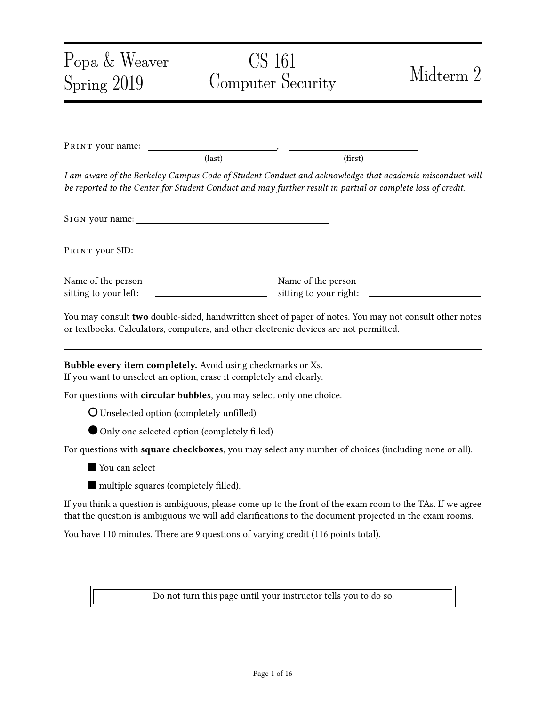# **Problem 1** True or False (20 points) (20 points)

You don't need to provide an explanation to any part of this question.

- (a) True or False: TCP sequence numbers prevent replay attacks within the same TLS session. (Assume less than 2 <sup>31</sup> bytes of data has been transferred.)
	- O TRUE O FALSE
- (b) True or False: A single message in TLS can be split into many TCP packets, and remains secure.
	- O TRUE **O** FALSE
- (c)  $T_{RUE}$  or  $F_{ALSE}$ : www. example. com can set a cookie with the flag  $Ht$ tpOnly. Then, this cookie can only be accessed through HTTP, but cannot be accessed through HTTPS.

| O TRUE | O FALSE |
|--------|---------|
|--------|---------|

(d) TRUE or FALSE: WWW. example. Com/C can set a cookie with the flag path =  $\alpha$  in a user's browser. Then, when the user visits the site www. example. com/a/b, the user's browser will send this cookie.

O TRUE **O** FALSE

(e) True or False: Say that example.com uses both DNSSEC and HTTPS. If the DNSSEC KSK of example. com is compromised, data received from https: //example. com is not assured to be confidential.

O TRUE **O** FALSE

(f) True or False: Say that example.com uses both DNSSEC and HTTPS. If the TLS private key of example. com is leaked, data received from https: //example. com is not assured to be confidential.

| $O$ TRUE | $O$ FALSE |
|----------|-----------|
|----------|-----------|

(g) TRUE or FALSE: Say that a user sends a DNS query asking for  $nx$ . example. com, but this domain does not exist. One advantage of NSEC3 over NSEC is that NSEC3 hides the domain name that does not exist, *i.e.*, nx. example. com.

O TRUE **O** FALSE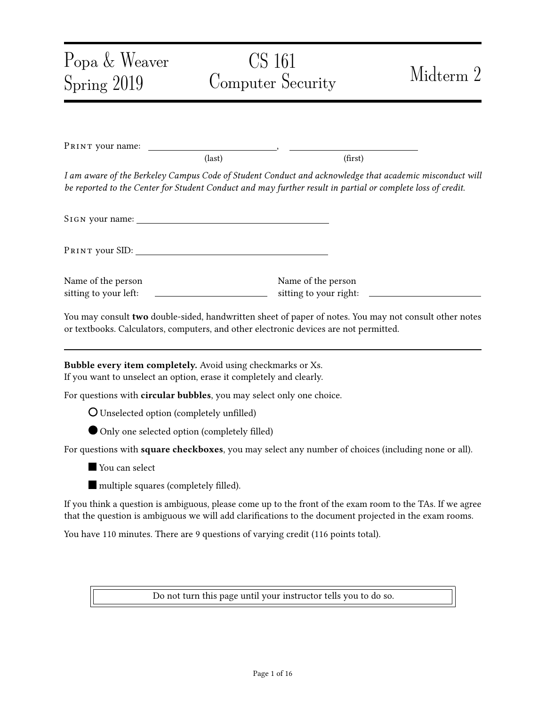(h)  $T_{\text{RUE}}$  or  $F_{\text{ALSE}}$ : A banking website requires the user to attach their password as a form field in every HTTPS request to the website. If the password is incorrect, the bank ignores the request. Assume that the bank accepts only HTTPS connections. If the user's password is sufficiently high-entropy, this method prevents CSRF.

O TRUE **O** FALSE

(i) True or False: Randomizing the source port used by DNS queries can help prevent on-path attackers from spoofing DNS replies.

O TRUE **O** FALSE

(j) True or False: An on-path attacker who successfully spoofs a DHCP reply can become a man-in-the-middle for all victim traffic to the Internet.

O TRUE **O** FALSE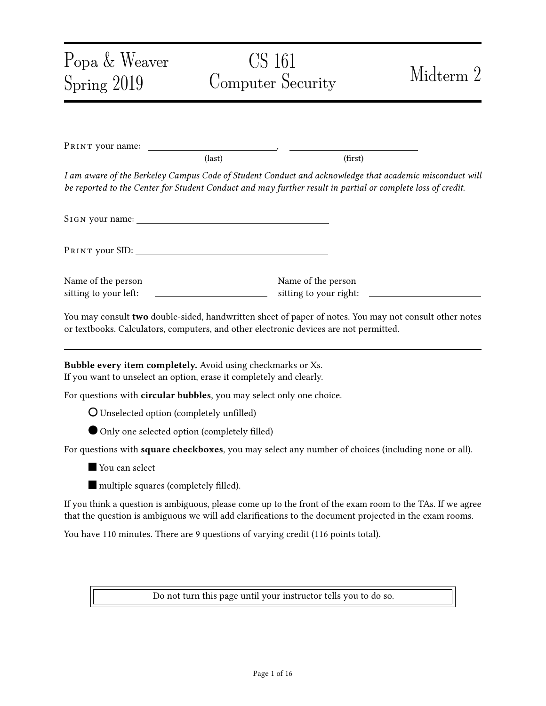### Problem 2 Wildcard DNSSEC (11 points) (11 points)

In this question, we discuss a variant of DNSSEC that supports wildcards.

We define a *wildcard* domain as a domain that matches many subdomains.

• For example, the wildcard domain  $*$ . google.com matches *all* domains under google.com, including mail.google.com and drive.google.com. Here, the star \* indicates a wildcard.

We define a non-wildcard domain as a domain with no wildcard, such as maps.google.com.

- Importantly, non-wildcard domain records take priority over the wildcard domain records.
- For example, if there are two records:

$$
\boxed{\text{900}} \text{e.com} \qquad \qquad 5.6.7.8
$$
\n
$$
\boxed{\text{mail .900}} \text{e.com} \qquad \boxed{1.2.3.4}
$$

then the DNS server should respond 1.2.3.4 as the IP address of mail.google.com.

- (a) In classical DNSSEC, if a user asks for the IP address of mail.google.com, and there is a nonwildcard record, the DNS server will return:
	- 1. the IP address of mail.google.com.
	- 2. the signature of the record containing the IP address.

Question: What is the type of the record (e.g., A, NS) that contains the information above?

- 1. the IP address of mail.google.com...
	- ... is in a record of the type \_\_\_\_\_\_\_\_\_\_\_\_\_ (write the record type).
- 2. the signature of the record above...
	- ... is in a record of the type \_\_\_\_\_\_\_\_\_\_\_\_\_\_\_(write the record type).
- (b) We now modify the DNSSEC protocol to support wildcards, as follows:
	- Consider a user who asks the IP address of the domain abc. google. com. There is only a wildcard record that matches abc.google.com, as follows:

\*.google.com 5.6.7.8,

• The server will return a record that consists of:

(abc.google.com, 5.6.7.8),

and a signature over this record.

However, this design is not good because it involves *online signing*; that is, the server cannot precompute the signature.

Question: List one drawback of having online signing in DNSSEC. (write less than 10 words)

\_\_\_\_\_\_\_\_\_\_\_\_\_\_\_\_\_\_\_\_\_\_\_\_\_\_\_\_\_\_\_\_\_\_\_\_\_\_\_\_\_\_\_\_\_\_\_\_\_\_\_\_\_\_\_\_\_\_\_\_\_\_\_\_\_\_\_\_\_\_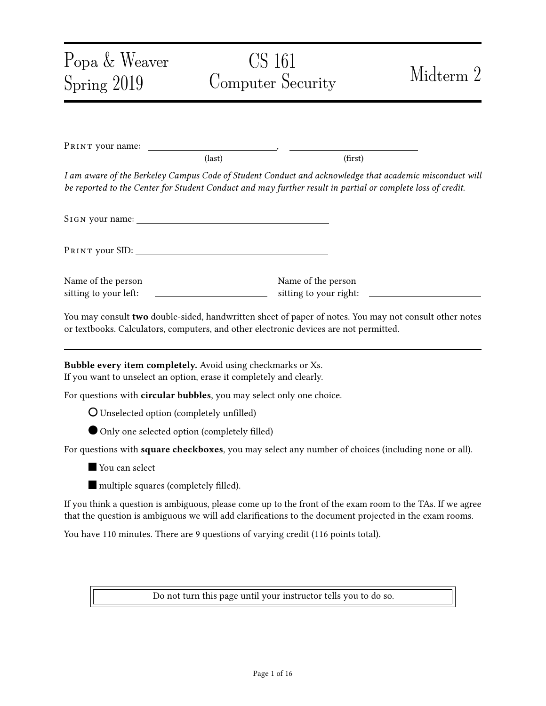- (c) To remove the online signing, we can have the DNS server instead do the following:
	- Return the wildcard record, which consists of:

$$
(*. \text{good} \, \text{e.} \, \text{com}, \, 5.6.7.8),
$$

• Return a signature over the record above.

A client who asks abc. google. com will receive this response. The client will believe that:

\_\_\_\_\_\_\_\_\_\_\_\_\_\_\_\_\_\_\_\_\_\_\_\_\_\_\_\_\_\_\_\_\_\_\_\_\_\_\_\_\_\_\_\_\_\_\_\_\_\_\_\_\_\_\_\_\_\_\_\_\_\_\_\_\_\_\_\_\_\_

\_\_\_\_\_\_\_\_\_\_\_\_\_\_\_\_\_\_\_\_\_\_\_\_\_\_\_\_\_\_\_\_\_\_\_\_\_\_\_\_\_\_\_\_\_\_\_\_\_\_\_\_\_\_\_\_\_\_\_\_\_\_\_\_\_\_\_\_\_\_

- No non-wildcard record matches the query.
- Only the wildcard captures this domain.

Question: Is this design secure? If yes, explain why. If not, explain how it could be made secure without requiring online signing (max 15 words).

 $\overline{O}$  Yes, it's secure  $\overline{O}$  No, it's insecure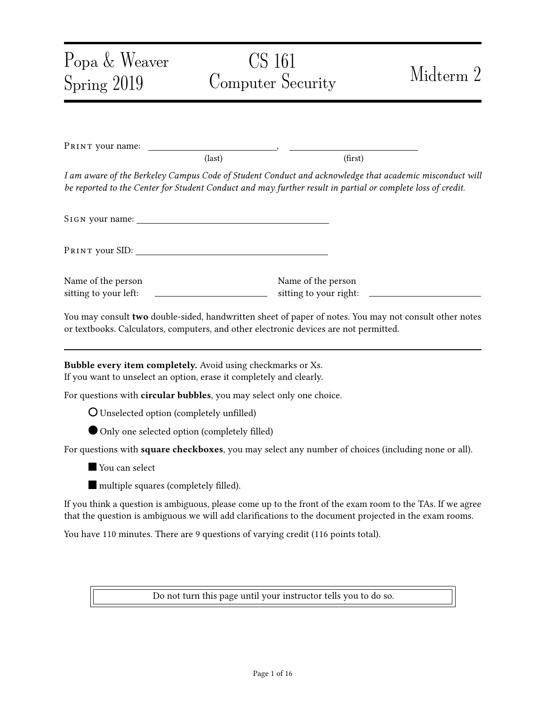### Problem 3 Online Banking (16 points) (16 points)

In an online banking system, each customer has a unique username and a secret numerical PIN. To access the banking website, a customer logs in to this web system using their username and PIN.

Suppose the login script uses the following PHP code:

\$user = escape\_sql(\$\_GET['username']);  $$pi = $GET['PIN']$ ; \$query = "SELECT \* FROM Users WHERE user = '\$user' AND pin = '\$pin'";  $s$ results =  $s$ db->executeQuery(query); if (\$results->numRows != 1)  $\{$ ^\* login fails  $^*/$ } else {/\* login succeeds as \$user \*/}

Here, the escape\_sql function escapes all quotes, dashes, and semicolons. You may assume that SQL injection cannot be performed from any input that has been sanitized with escape\_sql.

(a) Mallory obtains the source code of the login script and notices that it is vulnerable to SQL injection.

Question: Describe what input Mallory should use  $(e.g., \$_GET['username']$ ,  $\_GET['PIN']$ ) to exploit this vulnerability in order to drop the table Users.

 $\$ \_GET['username'] =

 $$ _GET['PIN'] =$ 

(b) Mallory knows a rich user whose username is "al i ce".

Question: Explain what input Mallory should use for SQL injection in order to log in to the online banking system as Alice, without knowing Alice's PIN.

 $\$ \_6ET['username'] =

 $$$ <sub> $~$ </sub> $$$  $~$  $G$  $E$  $T$ ['PIN'] =

- (c) The bank decides to fix the SQL injection bug by constraining the PIN that the user enters to be an integer, as follows.
	- Change the HTML of the login page:

– From:

```
<form action="/login.php" method="POST">
<p>Username: <input type="text" name="username" /></p>
p>PIN: <input type="\timestext" name="PIN" /></p>
<p><input type="submit" value="Login" /></p>
</form>
```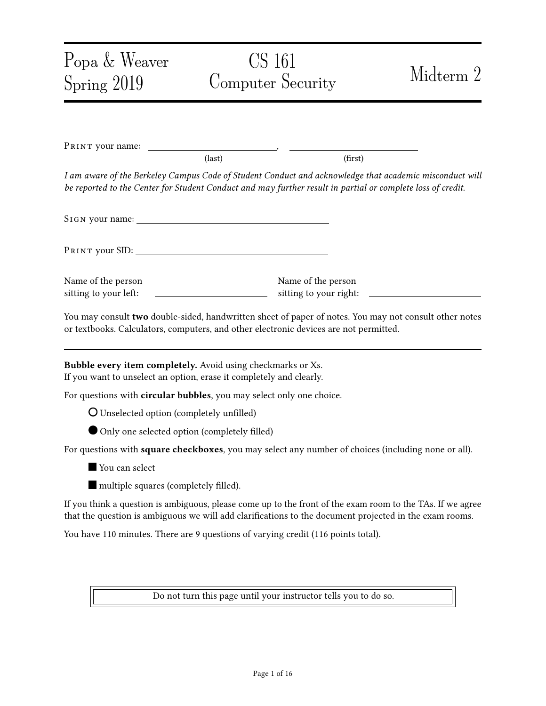```
<form action="/login.php" method="POST">
<p>Username: <input type="text" name="username" /></p>
p>PIN: < input type="\boxed{\text{number}}" name="PIN" /></p>
<p><input type="submit" value="Login" /></p>
</form>
```
- The <i nput> element with "type=number" will be treated differently by the web browser. The web browser will prevent the user from entering non-numerical data into this input field.
- *No* change to the PHP script.

TRUE OF FALSE: Does this fix prevent the SQL injection in parts (a) and (b)?

O TRUE **O** FALSE

You don't need to provide an explanation.

(d) The bank later did a major re-design of their website. Unfortunately, the new version was vulnerable to a CSRF attack. Mallory notices that she can exploit it by having another user make a GET request like:

/transfer?amt=1 &to=Mallory

and the user who makes this GET request will send \$100 to Mallory.

For each of the choices below, mark if it defends against CSRF. Assume that aside from the /transfer? endpoint, no other part of the bank is vulnerable to any web attacks.

Select 0 to 5 options.

 $\square$  Disable JavaScript from executing on the bank's website via content security policy (CSP).

 $\Box$  Add a new request parameter "from=" to the /transfer? endpoint. If "from" does not match the name of the currently logged in user according to the session cookie, reject the request.

 $\Box$  When a user logs in, send them a new cookie called Token, which consists of 128 random digits (different for each user). When a user makes a request to transfer money, the bank uses JavaScript to retrieve the cookie and add it as a query parameter "token=" to the /transfer endpoint. The bank checks that the token query parameter matches what the cookie was originally set to for this user.

 $\Box$  When a user logs in, send them a new cookie called Token, the same one above. When the user makes a request to the /transfer? endpoint, the bank checks that cookie sent by the user matches what the cookie was originally set to for this user.

 $\Box$  Reject any request to the /transfer? endpoint where the Referer is not the bank's website.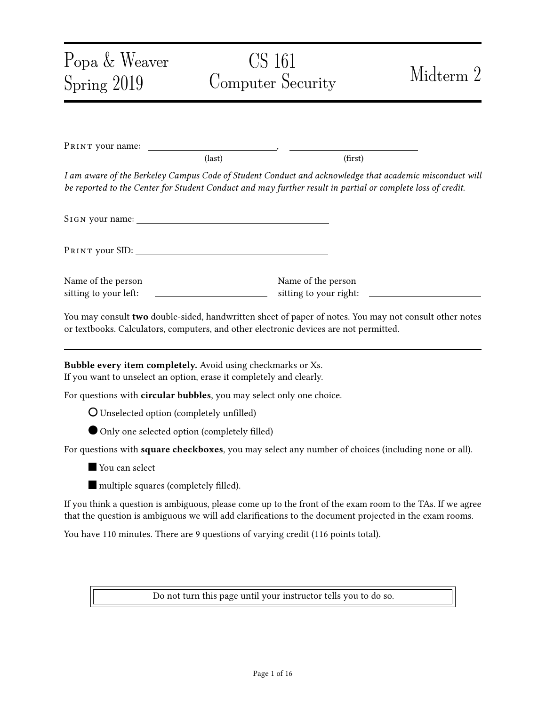## **Problem 4** The Subtle TLS (10 points) (10 points)

This question talks about a modied RSA TLS protocol. Recall in RSA TLS, the client sends to the server, and then the server replies with to the client. The cipher and integrity keys are generated by putting , , and the premaster secret together into a PRNG, like  $($ 

For each part of the question, assume an attacker with the following capabilities:

- The attacker is a man-in-the-middle.
- The attacker also controls a website  $evi$  I . example. com, with a valid HTTPS certificate. The user may connect to this site while browsing the Internet.
- (a) Let us assume that in RSA TLS, we make the following change. We generate the pre-master secret  $by =$ , where is bit-wise XOR.

True or False and Explain: This modied protocol preserves the integrity of RSA TLS.

O TRUE O FALSE

Explain concisely:

(b) Let us assume that in RSA TLS, we make the following change. Instead of providing " as input to the PRNG, both parties provide " as the only input to the PRNG. That is, the cipher and integrity keys will depend only on  $($ 

True or False and Explain: This preserves the security of TLS against replay attacks.

\_\_\_\_\_\_\_\_\_\_\_\_\_\_\_\_\_\_\_\_\_\_\_\_\_\_\_\_\_\_\_\_\_\_\_\_\_\_\_\_\_\_\_\_\_\_\_\_\_\_\_\_\_\_\_\_\_\_\_\_\_\_\_\_\_\_\_\_\_\_

\_\_\_\_\_\_\_\_\_\_\_\_\_\_\_\_\_\_\_\_\_\_\_\_\_\_\_\_\_\_\_\_\_\_\_\_\_\_\_\_\_\_\_\_\_\_\_\_\_\_\_\_\_\_\_\_\_\_\_\_\_\_\_\_\_\_\_\_\_\_

\_\_\_\_\_\_\_\_\_\_\_\_\_\_\_\_\_\_\_\_\_\_\_\_\_\_\_\_\_\_\_\_\_\_\_\_\_\_\_\_\_\_\_\_\_\_\_\_\_\_\_\_\_\_\_\_\_\_\_\_\_\_\_\_\_\_\_\_\_\_

\_\_\_\_\_\_\_\_\_\_\_\_\_\_\_\_\_\_\_\_\_\_\_\_\_\_\_\_\_\_\_\_\_\_\_\_\_\_\_\_\_\_\_\_\_\_\_\_\_\_\_\_\_\_\_\_\_\_\_\_\_\_\_\_\_\_\_\_\_\_

O TRUE **O** FALSE

Explain concisely:

(c) Let us assume that in RSA TLS, we make the following change. Rather than generating the randomly, the client begins with an initial value For each TLS connection the client makes, it simply increments the  $\alpha s$  + 1.

TRUE OF FALSE and Explain: This preserves the confidentiality of RSA TLS.

O TRUE O FALSE

Explain concisely:

\_\_\_\_\_\_\_\_\_\_\_\_\_\_\_\_\_\_\_\_\_\_\_\_\_\_\_\_\_\_\_\_\_\_\_\_\_\_\_\_\_\_\_\_\_\_\_\_\_\_\_\_\_\_\_\_\_\_\_\_\_\_\_\_\_\_\_\_\_\_

\_\_\_\_\_\_\_\_\_\_\_\_\_\_\_\_\_\_\_\_\_\_\_\_\_\_\_\_\_\_\_\_\_\_\_\_\_\_\_\_\_\_\_\_\_\_\_\_\_\_\_\_\_\_\_\_\_\_\_\_\_\_\_\_\_\_\_\_\_\_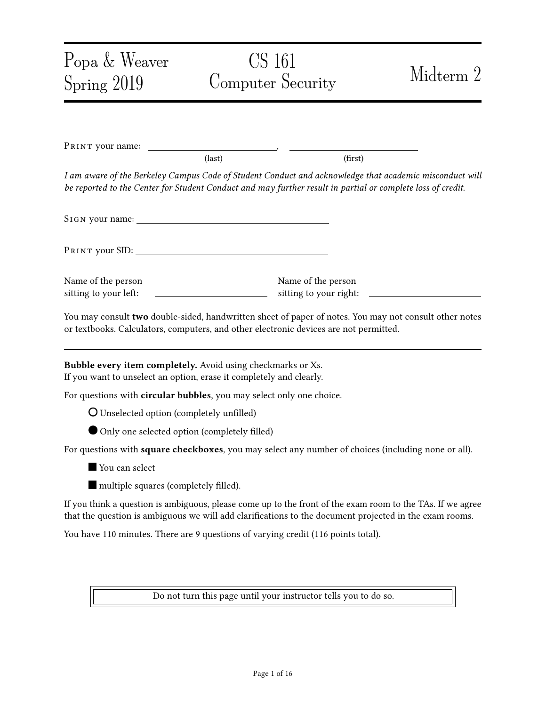### **Problem 5** WPA2 Security (13 points)

Recall the WPA2 handshake protocol based on pre-shared keys, as follows:

- The pre-shared key (PSK) is computed from the passphrase (i.e., the Wi-Fi password) and network SSID (*i.e.*, the name of the Wi-Fi network).
- Pairwise transient key (PTK) is determined from the ANonce, SNonce, and the pre-shared key (PSK) using a pseudorandom generator.
- The client derives the encryption and MIC keys from the PTK.
- (a) True or False: The WPA2 protocol described above provides forward secrecy.

O TRUE O FALSE

You don't need to provide an explanation.

(b) Alice connected her computer to a Wi-Fi access point and accessed a few websites. An eavesdropper recorded the ANonce, SNonce, and all other messages in Alice's connection.

With the information collected above, the eavesdropper can brute-force the passphrase. We consider that at this moment, the eavesdropper guesses that might be the correct passphrase.

**Question:** How can the eavesdropper confirm whether or not is the correct passphrase without connecting to the Wi-Fi access point? (answer concisely)

(c) A man-in-the-middle attacker knows the PSK of a Wi-Fi access point. Alice's laptop has been connected to this access point and is visiting https://www.chase.com/. Alice visited this website and logged in by providing her password.

True or False: A man-in-the-middle attacker can see Alice's banking password.

\_\_\_\_\_\_\_\_\_\_\_\_\_\_\_\_\_\_\_\_\_\_\_\_\_\_\_\_\_\_\_\_\_\_\_\_\_\_\_\_\_\_\_\_\_\_\_\_\_\_\_\_\_\_\_\_\_\_\_\_\_\_\_\_\_\_\_\_\_\_

\_\_\_\_\_\_\_\_\_\_\_\_\_\_\_\_\_\_\_\_\_\_\_\_\_\_\_\_\_\_\_\_\_\_\_\_\_\_\_\_\_\_\_\_\_\_\_\_\_\_\_\_\_\_\_\_\_\_\_\_\_\_\_\_\_\_\_\_\_\_

O TRUE O FALSE

Explain concisely:

(d) In WPA2 Enterprise the device authenticates to an authentication server over TLS to generate a unique PSK for the user before the WPA2 handshake. Yet, in the real world, users usually accept any certificate blindly since there is no notion of "name" (unlike for a web server) which the client can automatically validate.

True or False: In this case, the protocol is secure against a man-in-the-middle attacker.

O TRUE **O** FALSE

True or False: In this case, the protocol is secure against a passive eavesdropper.

O TRUE O FALSE

You don't need to provide an explanation.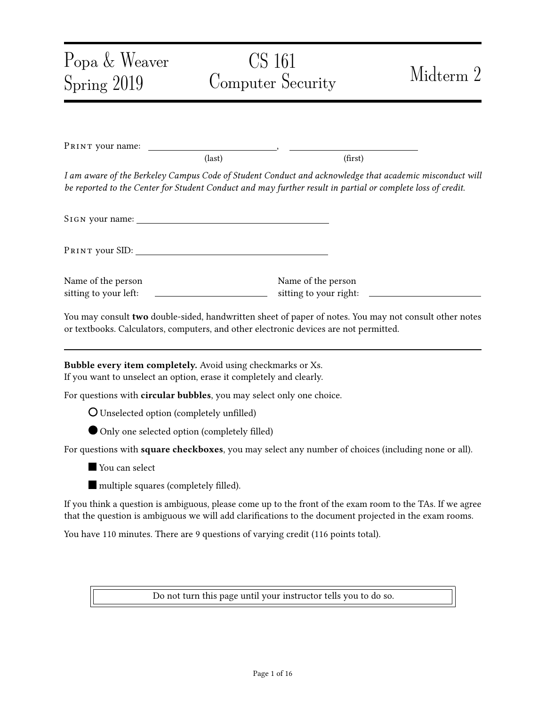### Problem 6 DNS (14 points)

(a) Injecting spoofed packets as an off-path attacker in TCP is much harder than in UDP. Even though TCP has a higher security guarantee, DNS often does not use TCP because TCP has a much higher latency.

Question: Compared with UDP, what is the chief reason why using TCP for DNS has a higher latency? (answer within 10 words)

(b) Alice wants to access Berkeley's diversity advancement project Dare, dare.berkeley.edu. Her laptop connects to a wireless access point (AP).

\_\_\_\_\_\_\_\_\_\_\_\_\_\_\_\_\_\_\_\_\_\_\_\_\_\_\_\_\_\_\_\_\_\_\_\_\_\_\_\_\_\_\_\_\_\_\_\_\_\_\_\_\_\_\_\_\_\_\_\_\_\_\_\_\_\_\_\_\_\_

Alice worries that a hacker attacks the DNS protocol when her laptop is looking for the IP address of dare. berkel ey. edu. Assume that DNSSEC is not in use.

Question: Which of the following can attack the DNS protocol and have Alice's browser obtain an incorrect IP address for DARE? (Select 0 to 8 options.)

| $\Box$ The laptop's operating system.             | $\Box$ The local DNS resolver of the network.                                              |
|---------------------------------------------------|--------------------------------------------------------------------------------------------|
| $\Box$ The laptop's network interface controller. | $\Box$ The root DNS servers.                                                               |
| $\Box$ The wireless access point.                 | $\Box$ berkel ey. edu's DNS nameservers.                                                   |
| $\Box$ An on-path attacker on the local network.  | $\Box$ An on-path attacker between the local DNS<br>resolver and the rest of the Internet. |

(c) Now assume that berkel ey. edu implements DNSSEC and Alice's recursive resolver (but not her client) validates DNSSEC.

Question: Which of the following can attack the DNS protocol and have Alice's browser obtain an incorrect IP address for DARE? (Select 0 to 8 options.)

| $\Box$ The laptop's operating system.             | $\Box$ The local DNS resolver of the network.                                              |
|---------------------------------------------------|--------------------------------------------------------------------------------------------|
| $\Box$ The laptop's network interface controller. | $\Box$ The root DNS servers.                                                               |
| $\Box$ The wireless access point.                 | $\Box$ berkel ey. edu's DNS nameservers.                                                   |
| $\Box$ An on-path attacker on the local network.  | $\Box$ An on-path attacker between the local DNS<br>resolver and the rest of the Internet. |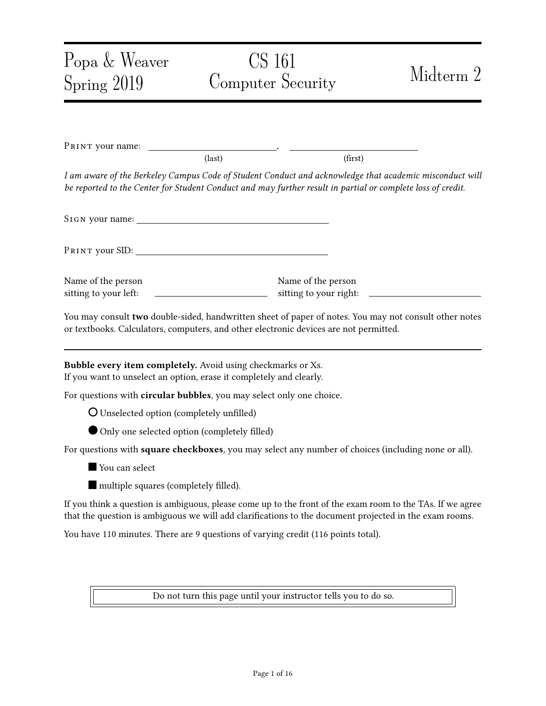(d) An attacker wants to poison the local DNS resolver's cache using the Kaminsky attack. We assume that the resolver does not use source port randomization, so the attacker will likely succeed.

In the Kaminsky attack, the attacker asks the resolver for a non-existing subdomain of UC Berkeley, e.g., stanford. berkel ey. edu, instead of asking for an existing domain like dare. berkel ey. edu.

Question: What is the advantage of asking for a non-existent domain compared to asking for an existing domain? (answer within 10 words)

\_\_\_\_\_\_\_\_\_\_\_\_\_\_\_\_\_\_\_\_\_\_\_\_\_\_\_\_\_\_\_\_\_\_\_\_\_\_\_\_\_\_\_\_\_\_\_\_\_\_\_\_\_\_\_\_\_\_\_\_\_\_\_\_\_\_\_\_\_\_

\_\_\_\_\_\_\_\_\_\_\_\_\_\_\_\_\_\_\_\_\_\_\_\_\_\_\_\_\_\_\_\_\_\_\_\_\_\_\_\_\_\_\_\_\_\_\_\_\_\_\_\_\_\_\_\_\_\_\_\_\_\_\_\_\_\_\_\_\_\_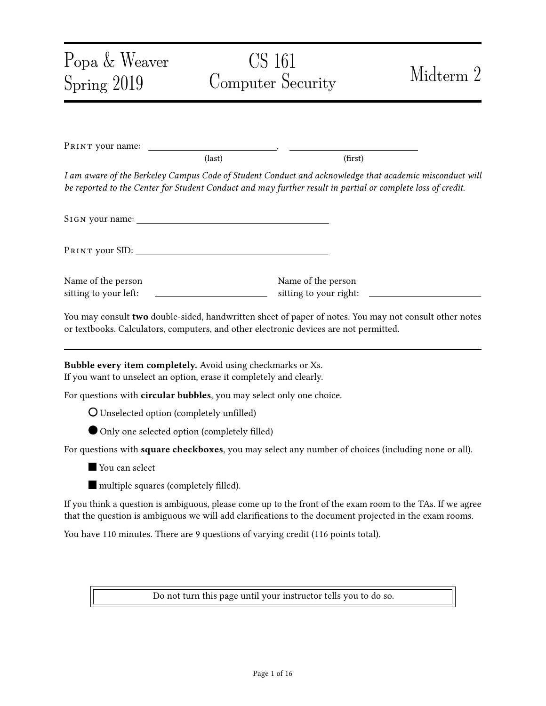#### Problem 7 Same-Origin Policy (13 points) (13 points)

(a) TRUE or FALSE: Setting "secure" flag on a cookie protects it from a network attacker eavesdropping on an insecure HTTP connection.

O TRUE O FALSE

You don't need to provide an explanation.

(b) True or False: After a successful XSS attack, JavaScript can access all cookies set by the website it attacked.

O TRUE O FALSE

You don't need to provide an explanation.

(c) Which of these URIs have the same origin as "http://same.origin.com:80/a.htm" according to same origin policy? (choose 0 to 4 options)

 $\Box$  http://origin.com:8/a.htm  $\Box$  http://same.origin.com: 8

http://same.origin.com:8 /a.htm/b □ ftp://same.origin.com:8

(d) If a page loads a JavaScript file from some other site, this JavaScript file takes the origin of...

Choose one option:

- $\overline{O}$  The page that loaded it  $\overline{O}$  The site that hosts the JavaScript file
- (e) Same-origin policy is very useful in preventing many web attacks. Yet, it also inconveniences for web developers - different domains cannot talk to each other.

\_\_\_\_\_\_\_\_\_\_\_\_\_\_\_\_\_\_\_\_\_\_\_\_\_\_\_\_\_\_\_\_\_\_\_\_\_\_\_\_\_\_\_\_\_\_\_\_\_\_\_\_\_\_\_\_\_\_\_\_\_\_\_\_\_\_\_\_\_\_

Question: Provide a specific solution for the web developers to conveniently enable JavaScript in different domains' webpages to conveniently talk to each other. (answer less than 10 words)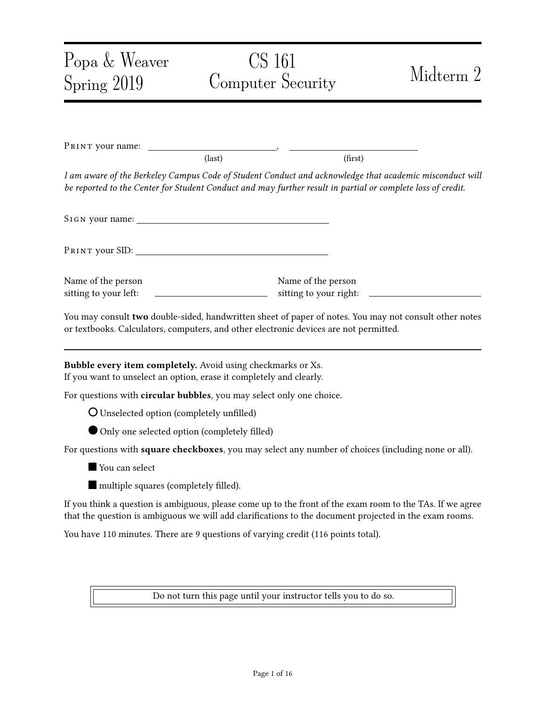Problem 8 HTTP TRACE method (7 points)

Web servers can support another type of HTTP requests, TRACE, as follows.

A TRACE request is like a GET request or a POST request. It simply has the web server echo back the HTTP request sent by the client. *Importantly*, this method will echo back the entire request, including all the cookies sent by the client.

Assume that neither web servers nor web browsers set any restriction preventing the use of TRACE requests. In particular, JavaScript can send a TRACE request and receive its response.[1](#page-12-0)

(a) Mallory knows that victim.com is vulnerable to an XSS attack. Mallory also knows that this website stores a session cookie on the user's browser.

However, Mallory's injected JavaScript is unable to access that session cookie.

\_\_\_\_\_\_\_\_\_\_\_\_\_\_\_\_\_\_\_\_\_\_\_\_\_\_\_\_\_\_\_\_\_\_\_\_\_\_\_\_\_\_\_\_\_\_\_\_\_\_\_\_\_\_\_\_\_\_\_\_\_\_\_\_\_\_\_\_\_\_

Question: What is a likely reason for which Mallory's injected JavaScript code failed to access the session cookie? (answer in less than 10 words)

(b) Explain how Mallory's injected JavaScript can steal the cookie and send the cookie to Mallory's personal website evil.com.

You don't need to provide the specific JavaScript code; rather, you only need to provide the high-level ideas. Please arrange your answer in a few steps (no more than three steps).

Outline: Mallory's injected JavaScript, which consists of no more than three steps:

1.  $\blacksquare$ 

 $2.$ 

 $3.$ 

(Answer concisely, put only a single line of text above the dashes, and do not exceed the space.)

<span id="page-12-0"></span><sup>1</sup>These days, browsers now all block JavaScript from sending TRACE requests because of this particular attack.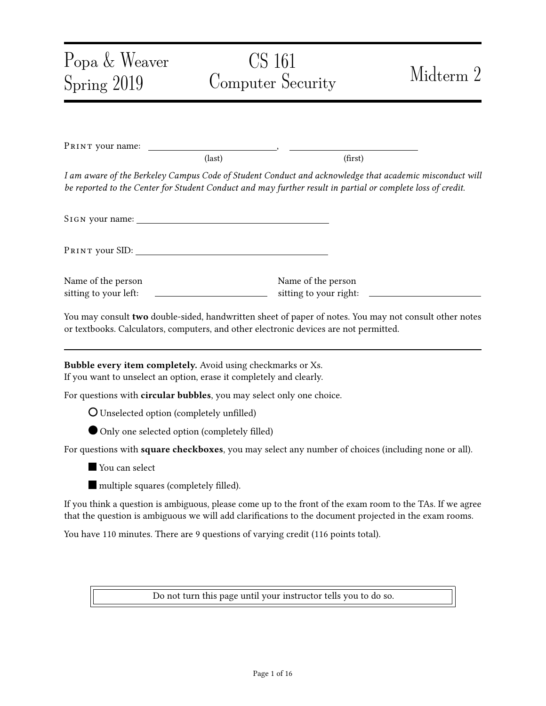### Problem 9 Firewalls and DDoS (12 points)

- (a) TRUE or FALSE: A stateless firewall can block in-bound TCP connections on destination port 80 to devices on the internal network, while still allowing these devices to make out-bound connections using destination port 80.
	- O TRUE O FALSE
- (b) TRUE OF FALSE: A stateless firewall can block in-bound UDP connections on destination port 53 to devices on the internal network, while still allowing these devices to make out-bound connections using destination port 53.

O TRUE O FALSE

(c) TRUE or FALSE: SYN flooding attacks can be effectively prevented by rate-limiting the number of TCP connections from a given IP address.

O TRUE O FALSE

(d) Consider the following implementation of SYN cookies. During the TCP handshake, the implementation sets the sequence number of the SYN ACK packet to be the first 32 bits of HMAC (), where is the time rounded to the nearest second and is a secret key known only by the server.

Question: Explain why such a design of SYN cookies makes it easier for an off-path attacker to spoof TCP packets.

(e) What additional piece of information could you include in the MAC in order to fix the problem above?

\_\_\_\_\_\_\_\_\_\_\_\_\_\_\_\_\_\_\_\_\_\_\_\_\_\_\_\_\_\_\_\_\_\_\_\_\_\_\_\_\_\_\_\_\_\_\_\_\_\_\_\_\_\_\_\_\_\_\_\_\_\_\_\_\_\_\_\_\_\_

\_\_\_\_\_\_\_\_\_\_\_\_\_\_\_\_\_\_\_\_\_\_\_\_\_\_\_\_\_\_\_\_\_\_\_\_\_\_\_\_\_\_\_\_\_\_\_\_\_\_\_\_\_\_\_\_\_\_\_\_\_\_\_\_\_\_\_\_\_\_

\_\_\_\_\_\_\_\_\_\_\_\_\_\_\_\_\_\_\_\_\_\_\_\_\_\_\_\_\_\_\_\_\_\_\_\_\_\_\_\_\_\_\_\_\_\_\_\_\_\_\_\_\_\_\_\_\_\_\_\_\_\_\_\_\_\_\_\_\_\_

Answer concisely: